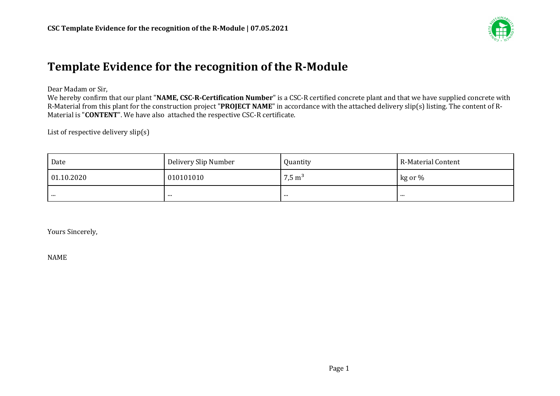

## Template Evidence for the recognition of the R-Module

Dear Madam or Sir,

We hereby confirm that our plant "NAME, CSC-R-Certification Number" is a CSC-R certified concrete plant and that we have supplied concrete with R-Material from this plant for the construction project "PROJECT NAME" in accordance with the attached delivery slip(s) listing. The content of R-Material is "**CONTENT**". We have also attached the respective CSC-R certificate.

List of respective delivery  $slip(s)$ 

| Date       | Delivery Slip Number | Quantity          | R-Material Content |
|------------|----------------------|-------------------|--------------------|
| 01.10.2020 | 010101010            | $7,5 \text{ m}^3$ | kg or %            |
|            |                      | .                 |                    |

Yours Sincerely,

NAME